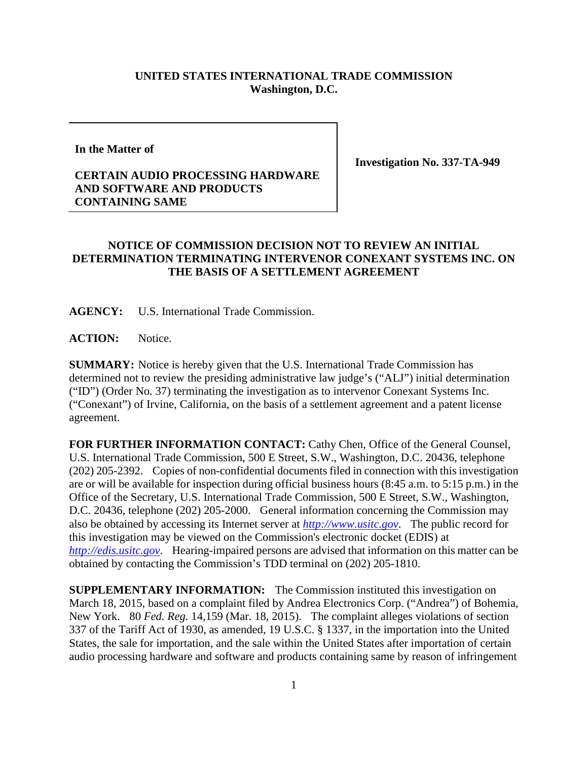## **UNITED STATES INTERNATIONAL TRADE COMMISSION Washington, D.C.**

**In the Matter of**

## **CERTAIN AUDIO PROCESSING HARDWARE AND SOFTWARE AND PRODUCTS CONTAINING SAME**

**Investigation No. 337-TA-949**

## **NOTICE OF COMMISSION DECISION NOT TO REVIEW AN INITIAL DETERMINATION TERMINATING INTERVENOR CONEXANT SYSTEMS INC. ON THE BASIS OF A SETTLEMENT AGREEMENT**

**AGENCY:** U.S. International Trade Commission.

ACTION: Notice.

**SUMMARY:** Notice is hereby given that the U.S. International Trade Commission has determined not to review the presiding administrative law judge's ("ALJ") initial determination ("ID") (Order No. 37) terminating the investigation as to intervenor Conexant Systems Inc. ("Conexant") of Irvine, California, on the basis of a settlement agreement and a patent license agreement.

**FOR FURTHER INFORMATION CONTACT:** Cathy Chen, Office of the General Counsel, U.S. International Trade Commission, 500 E Street, S.W., Washington, D.C. 20436, telephone (202) 205-2392. Copies of non-confidential documents filed in connection with this investigation are or will be available for inspection during official business hours (8:45 a.m. to 5:15 p.m.) in the Office of the Secretary, U.S. International Trade Commission, 500 E Street, S.W., Washington, D.C. 20436, telephone (202) 205-2000. General information concerning the Commission may also be obtained by accessing its Internet server at *[http://www.usitc.gov](http://www.usitc.gov/)*. The public record for this investigation may be viewed on the Commission's electronic docket (EDIS) at *[http://edis.usitc.gov](http://edis.usitc.gov/)*. Hearing-impaired persons are advised that information on this matter can be obtained by contacting the Commission's TDD terminal on (202) 205-1810.

**SUPPLEMENTARY INFORMATION:** The Commission instituted this investigation on March 18, 2015, based on a complaint filed by Andrea Electronics Corp. ("Andrea") of Bohemia, New York. 80 *Fed. Reg.* 14,159 (Mar. 18, 2015). The complaint alleges violations of section 337 of the Tariff Act of 1930, as amended, 19 U.S.C. § 1337, in the importation into the United States, the sale for importation, and the sale within the United States after importation of certain audio processing hardware and software and products containing same by reason of infringement